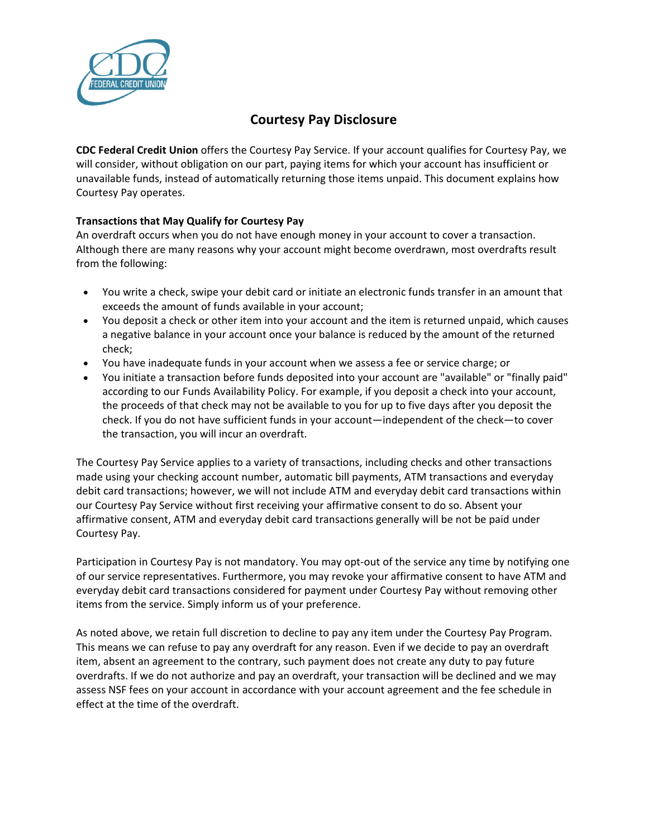

## **Courtesy Pay Disclosure**

**CDC Federal Credit Union** offers the Courtesy Pay Service. If your account qualifies for Courtesy Pay, we will consider, without obligation on our part, paying items for which your account has insufficient or unavailable funds, instead of automatically returning those items unpaid. This document explains how Courtesy Pay operates.

## **Transactions that May Qualify for Courtesy Pay**

An overdraft occurs when you do not have enough money in your account to cover a transaction. Although there are many reasons why your account might become overdrawn, most overdrafts result from the following:

- You write a check, swipe your debit card or initiate an electronic funds transfer in an amount that exceeds the amount of funds available in your account;
- You deposit a check or other item into your account and the item is returned unpaid, which causes a negative balance in your account once your balance is reduced by the amount of the returned check;
- You have inadequate funds in your account when we assess a fee or service charge; or
- You initiate a transaction before funds deposited into your account are "available" or "finally paid" according to our Funds Availability Policy. For example, if you deposit a check into your account, the proceeds of that check may not be available to you for up to five days after you deposit the check. If you do not have sufficient funds in your account—independent of the check—to cover the transaction, you will incur an overdraft.

The Courtesy Pay Service applies to a variety of transactions, including checks and other transactions made using your checking account number, automatic bill payments, ATM transactions and everyday debit card transactions; however, we will not include ATM and everyday debit card transactions within our Courtesy Pay Service without first receiving your affirmative consent to do so. Absent your affirmative consent, ATM and everyday debit card transactions generally will be not be paid under Courtesy Pay.

Participation in Courtesy Pay is not mandatory. You may opt-out of the service any time by notifying one of our service representatives. Furthermore, you may revoke your affirmative consent to have ATM and everyday debit card transactions considered for payment under Courtesy Pay without removing other items from the service. Simply inform us of your preference.

As noted above, we retain full discretion to decline to pay any item under the Courtesy Pay Program. This means we can refuse to pay any overdraft for any reason. Even if we decide to pay an overdraft item, absent an agreement to the contrary, such payment does not create any duty to pay future overdrafts. If we do not authorize and pay an overdraft, your transaction will be declined and we may assess NSF fees on your account in accordance with your account agreement and the fee schedule in effect at the time of the overdraft.